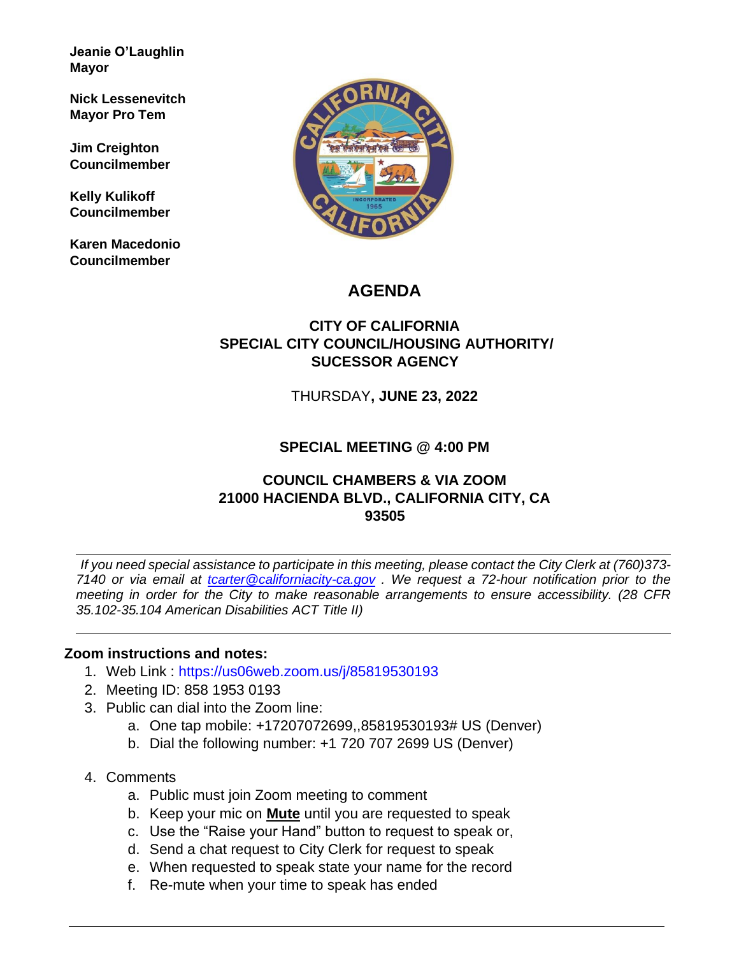**Jeanie O'Laughlin Mayor** 

**Nick Lessenevitch Mayor Pro Tem** 

**Jim Creighton Councilmember** 

**Kelly Kulikoff Councilmember**

**Karen Macedonio Councilmember** 



# **AGENDA**

# **CITY OF CALIFORNIA SPECIAL CITY COUNCIL/HOUSING AUTHORITY/ SUCESSOR AGENCY**

THURSDAY**, JUNE 23, 2022**

# **SPECIAL MEETING @ 4:00 PM**

### **COUNCIL CHAMBERS & VIA ZOOM 21000 HACIENDA BLVD., CALIFORNIA CITY, CA 93505**

*If you need special assistance to participate in this meeting, please contact the City Clerk at (760)373- 7140 or via email at tcarter@californiacity-ca.gov . We request a 72-hour notification prior to the meeting in order for the City to make reasonable arrangements to ensure accessibility. (28 CFR 35.102-35.104 American Disabilities ACT Title II)* 

### **Zoom instructions and notes:**

- 1. Web Link : https://us06web.zoom.us/j/85819530193
- 2. Meeting ID: 858 1953 0193
- 3. Public can dial into the Zoom line:
	- a. One tap mobile: +17207072699,,85819530193# US (Denver)
	- b. Dial the following number: +1 720 707 2699 US (Denver)
- 4. Comments
	- a. Public must join Zoom meeting to comment
	- b. Keep your mic on **Mute** until you are requested to speak
	- c. Use the "Raise your Hand" button to request to speak or,
	- d. Send a chat request to City Clerk for request to speak
	- e. When requested to speak state your name for the record
	- f. Re-mute when your time to speak has ended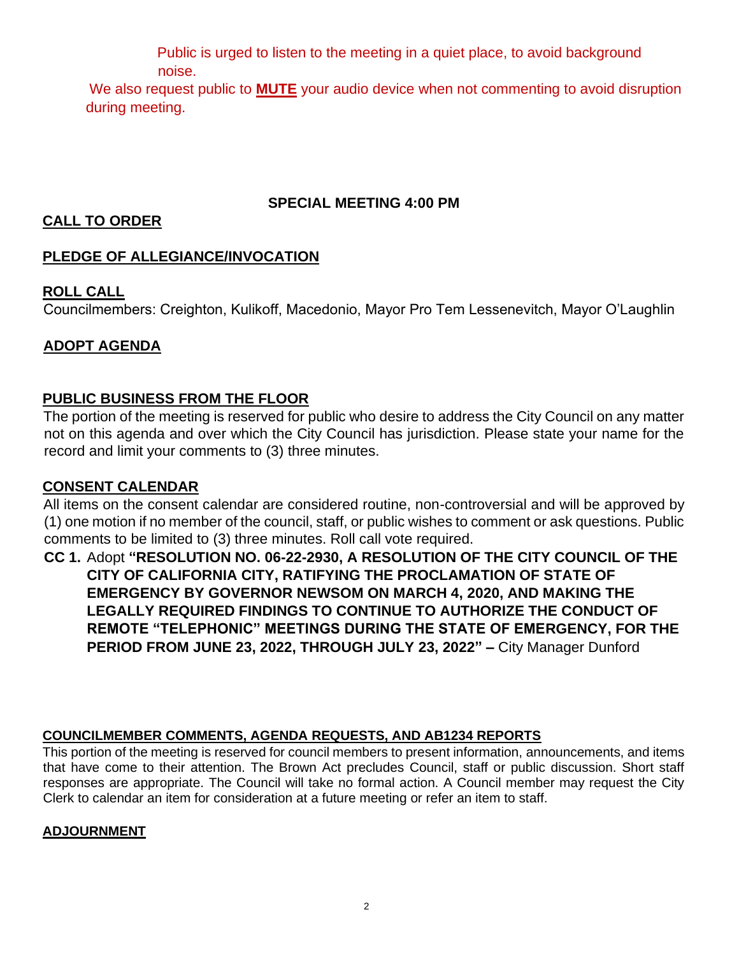Public is urged to listen to the meeting in a quiet place, to avoid background noise.

We also request public to **MUTE** your audio device when not commenting to avoid disruption during meeting.

### **SPECIAL MEETING 4:00 PM**

### **CALL TO ORDER**

# **PLEDGE OF ALLEGIANCE/INVOCATION**

# **ROLL CALL**

Councilmembers: Creighton, Kulikoff, Macedonio, Mayor Pro Tem Lessenevitch, Mayor O'Laughlin

# **ADOPT AGENDA**

# **PUBLIC BUSINESS FROM THE FLOOR**

The portion of the meeting is reserved for public who desire to address the City Council on any matter not on this agenda and over which the City Council has jurisdiction. Please state your name for the record and limit your comments to (3) three minutes.

### **CONSENT CALENDAR**

All items on the consent calendar are considered routine, non-controversial and will be approved by (1) one motion if no member of the council, staff, or public wishes to comment or ask questions. Public comments to be limited to (3) three minutes. Roll call vote required.

**CC 1.** Adopt **"RESOLUTION NO. 06-22-2930, A RESOLUTION OF THE CITY COUNCIL OF THE CITY OF CALIFORNIA CITY, RATIFYING THE PROCLAMATION OF STATE OF EMERGENCY BY GOVERNOR NEWSOM ON MARCH 4, 2020, AND MAKING THE LEGALLY REQUIRED FINDINGS TO CONTINUE TO AUTHORIZE THE CONDUCT OF REMOTE "TELEPHONIC" MEETINGS DURING THE STATE OF EMERGENCY, FOR THE PERIOD FROM JUNE 23, 2022, THROUGH JULY 23, 2022" –** City Manager Dunford

### **COUNCILMEMBER COMMENTS, AGENDA REQUESTS, AND AB1234 REPORTS**

This portion of the meeting is reserved for council members to present information, announcements, and items that have come to their attention. The Brown Act precludes Council, staff or public discussion. Short staff responses are appropriate. The Council will take no formal action. A Council member may request the City Clerk to calendar an item for consideration at a future meeting or refer an item to staff.

### **ADJOURNMENT**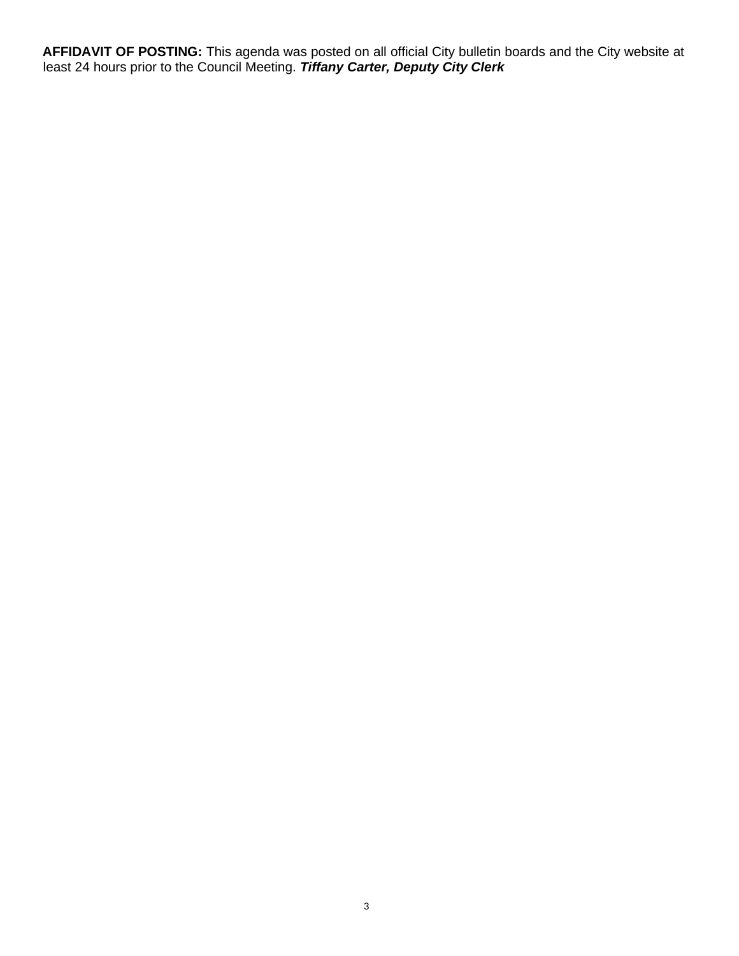**AFFIDAVIT OF POSTING:** This agenda was posted on all official City bulletin boards and the City website at least 24 hours prior to the Council Meeting. *Tiffany Carter, Deputy City Clerk*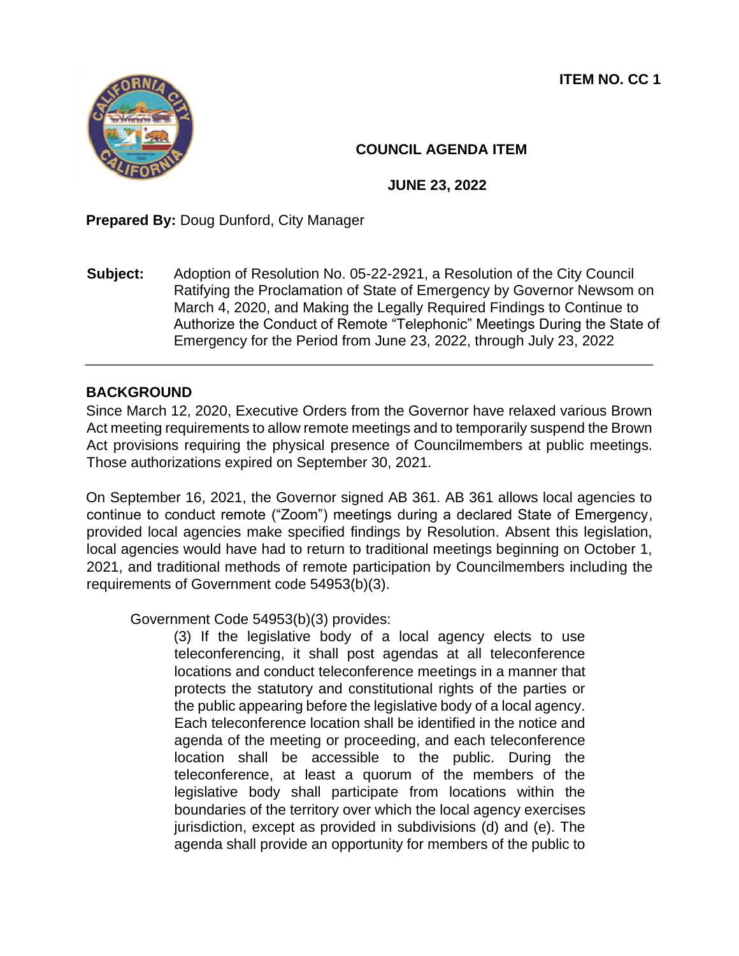**ITEM NO. CC 1** 



# **COUNCIL AGENDA ITEM**

**JUNE 23, 2022** 

**Prepared By:** Doug Dunford, City Manager

**Subject:** Adoption of Resolution No. 05-22-2921, a Resolution of the City Council Ratifying the Proclamation of State of Emergency by Governor Newsom on March 4, 2020, and Making the Legally Required Findings to Continue to Authorize the Conduct of Remote "Telephonic" Meetings During the State of Emergency for the Period from June 23, 2022, through July 23, 2022

### **BACKGROUND**

Since March 12, 2020, Executive Orders from the Governor have relaxed various Brown Act meeting requirements to allow remote meetings and to temporarily suspend the Brown Act provisions requiring the physical presence of Councilmembers at public meetings. Those authorizations expired on September 30, 2021.

On September 16, 2021, the Governor signed AB 361. AB 361 allows local agencies to continue to conduct remote ("Zoom") meetings during a declared State of Emergency, provided local agencies make specified findings by Resolution. Absent this legislation, local agencies would have had to return to traditional meetings beginning on October 1, 2021, and traditional methods of remote participation by Councilmembers including the requirements of Government code 54953(b)(3).

Government Code 54953(b)(3) provides:

(3) If the legislative body of a local agency elects to use teleconferencing, it shall post agendas at all teleconference locations and conduct teleconference meetings in a manner that protects the statutory and constitutional rights of the parties or the public appearing before the legislative body of a local agency. Each teleconference location shall be identified in the notice and agenda of the meeting or proceeding, and each teleconference location shall be accessible to the public. During the teleconference, at least a quorum of the members of the legislative body shall participate from locations within the boundaries of the territory over which the local agency exercises jurisdiction, except as provided in subdivisions (d) and (e). The agenda shall provide an opportunity for members of the public to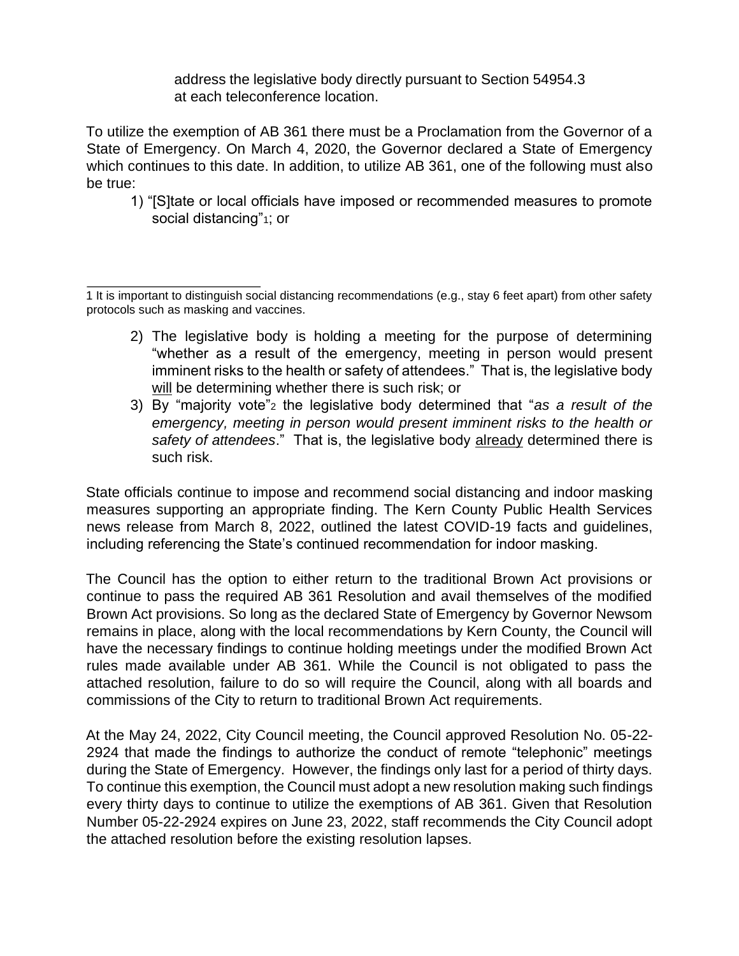address the legislative body directly pursuant to Section 54954.3 at each teleconference location.

To utilize the exemption of AB 361 there must be a Proclamation from the Governor of a State of Emergency. On March 4, 2020, the Governor declared a State of Emergency which continues to this date. In addition, to utilize AB 361, one of the following must also be true:

1) "[S]tate or local officials have imposed or recommended measures to promote social distancing"<sup>1</sup>; or

1 It is important to distinguish social distancing recommendations (e.g., stay 6 feet apart) from other safety protocols such as masking and vaccines.

- 2) The legislative body is holding a meeting for the purpose of determining "whether as a result of the emergency, meeting in person would present imminent risks to the health or safety of attendees." That is, the legislative body will be determining whether there is such risk; or
- 3) By "majority vote"<sup>2</sup> the legislative body determined that "*as a result of the emergency, meeting in person would present imminent risks to the health or safety of attendees*." That is, the legislative body already determined there is such risk.

State officials continue to impose and recommend social distancing and indoor masking measures supporting an appropriate finding. The Kern County Public Health Services news release from March 8, 2022, outlined the latest COVID-19 facts and guidelines, including referencing the State's continued recommendation for indoor masking.

The Council has the option to either return to the traditional Brown Act provisions or continue to pass the required AB 361 Resolution and avail themselves of the modified Brown Act provisions. So long as the declared State of Emergency by Governor Newsom remains in place, along with the local recommendations by Kern County, the Council will have the necessary findings to continue holding meetings under the modified Brown Act rules made available under AB 361. While the Council is not obligated to pass the attached resolution, failure to do so will require the Council, along with all boards and commissions of the City to return to traditional Brown Act requirements.

At the May 24, 2022, City Council meeting, the Council approved Resolution No. 05-22- 2924 that made the findings to authorize the conduct of remote "telephonic" meetings during the State of Emergency. However, the findings only last for a period of thirty days. To continue this exemption, the Council must adopt a new resolution making such findings every thirty days to continue to utilize the exemptions of AB 361. Given that Resolution Number 05-22-2924 expires on June 23, 2022, staff recommends the City Council adopt the attached resolution before the existing resolution lapses.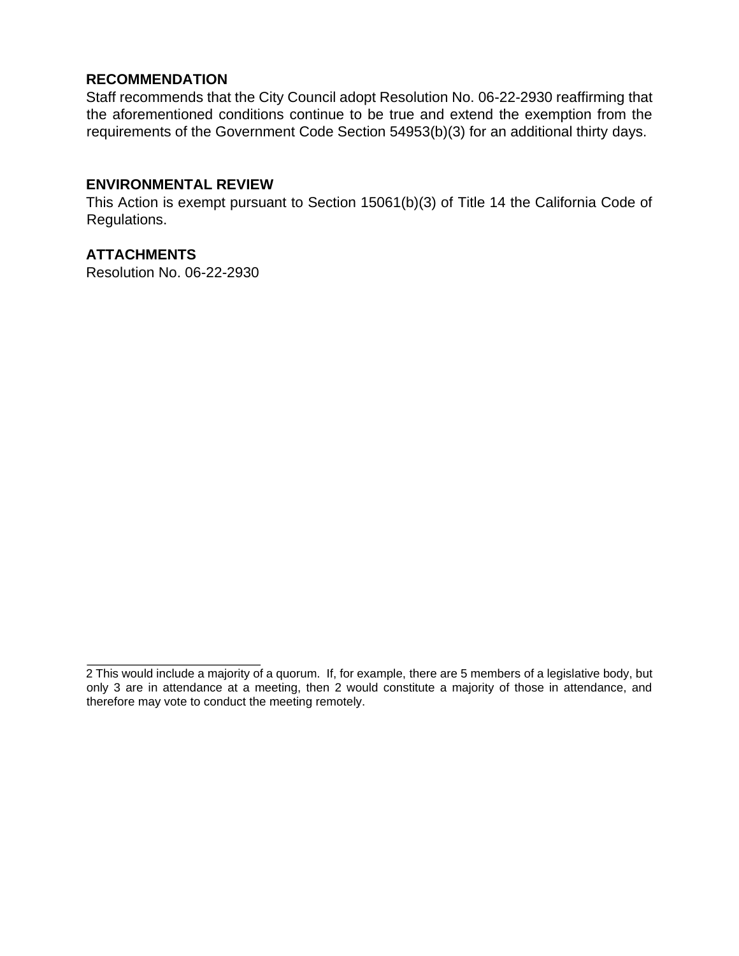#### **RECOMMENDATION**

Staff recommends that the City Council adopt Resolution No. 06-22-2930 reaffirming that the aforementioned conditions continue to be true and extend the exemption from the requirements of the Government Code Section 54953(b)(3) for an additional thirty days.

#### **ENVIRONMENTAL REVIEW**

This Action is exempt pursuant to Section 15061(b)(3) of Title 14 the California Code of Regulations.

#### **ATTACHMENTS**

Resolution No. 06-22-2930

<sup>2</sup> This would include a majority of a quorum. If, for example, there are 5 members of a legislative body, but only 3 are in attendance at a meeting, then 2 would constitute a majority of those in attendance, and therefore may vote to conduct the meeting remotely.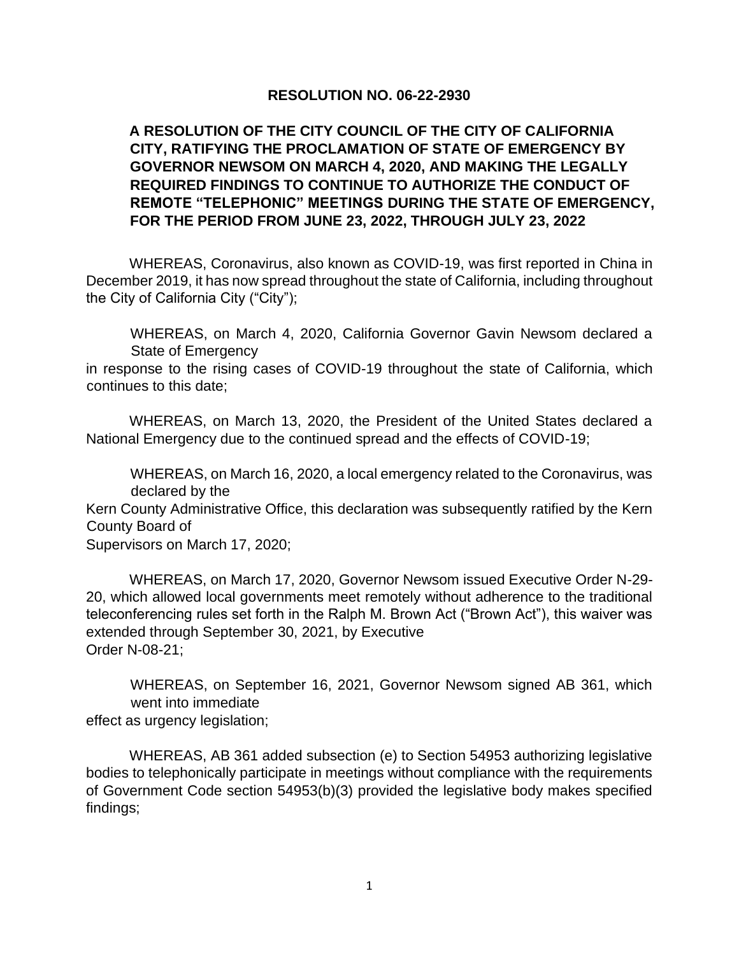#### **RESOLUTION NO. 06-22-2930**

### **A RESOLUTION OF THE CITY COUNCIL OF THE CITY OF CALIFORNIA CITY, RATIFYING THE PROCLAMATION OF STATE OF EMERGENCY BY GOVERNOR NEWSOM ON MARCH 4, 2020, AND MAKING THE LEGALLY REQUIRED FINDINGS TO CONTINUE TO AUTHORIZE THE CONDUCT OF REMOTE "TELEPHONIC" MEETINGS DURING THE STATE OF EMERGENCY, FOR THE PERIOD FROM JUNE 23, 2022, THROUGH JULY 23, 2022**

WHEREAS, Coronavirus, also known as COVID-19, was first reported in China in December 2019, it has now spread throughout the state of California, including throughout the City of California City ("City");

WHEREAS, on March 4, 2020, California Governor Gavin Newsom declared a State of Emergency

in response to the rising cases of COVID-19 throughout the state of California, which continues to this date;

WHEREAS, on March 13, 2020, the President of the United States declared a National Emergency due to the continued spread and the effects of COVID-19;

WHEREAS, on March 16, 2020, a local emergency related to the Coronavirus, was declared by the

Kern County Administrative Office, this declaration was subsequently ratified by the Kern County Board of

Supervisors on March 17, 2020;

WHEREAS, on March 17, 2020, Governor Newsom issued Executive Order N-29- 20, which allowed local governments meet remotely without adherence to the traditional teleconferencing rules set forth in the Ralph M. Brown Act ("Brown Act"), this waiver was extended through September 30, 2021, by Executive Order N-08-21;

WHEREAS, on September 16, 2021, Governor Newsom signed AB 361, which went into immediate effect as urgency legislation;

WHEREAS, AB 361 added subsection (e) to Section 54953 authorizing legislative bodies to telephonically participate in meetings without compliance with the requirements of Government Code section 54953(b)(3) provided the legislative body makes specified findings;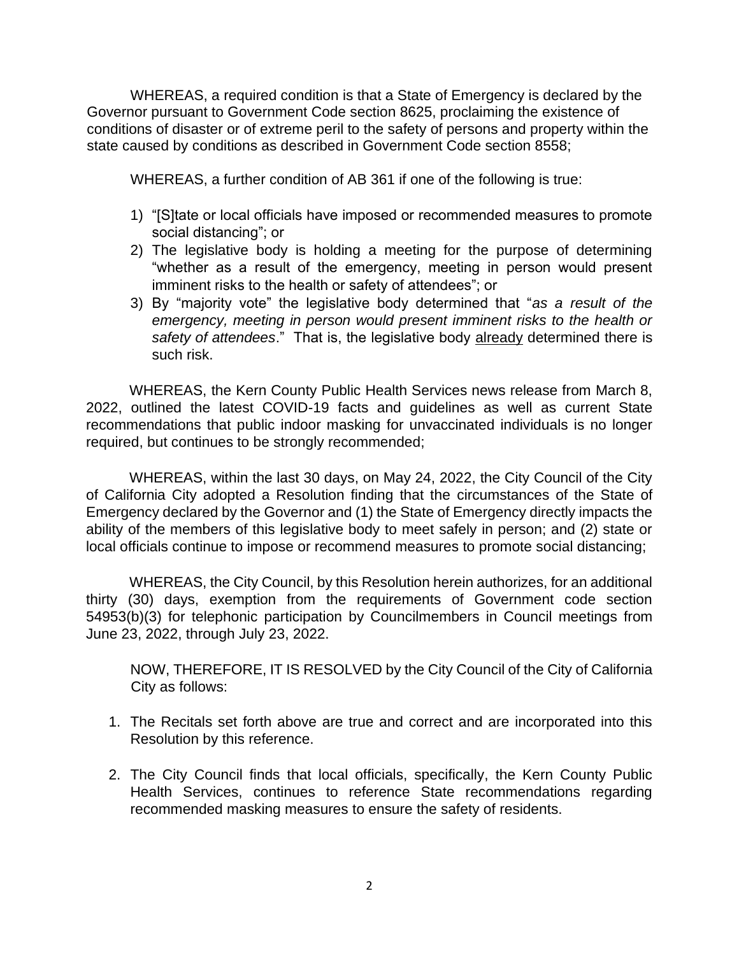WHEREAS, a required condition is that a State of Emergency is declared by the Governor pursuant to Government Code section 8625, proclaiming the existence of conditions of disaster or of extreme peril to the safety of persons and property within the state caused by conditions as described in Government Code section 8558;

WHEREAS, a further condition of AB 361 if one of the following is true:

- 1) "[S]tate or local officials have imposed or recommended measures to promote social distancing"; or
- 2) The legislative body is holding a meeting for the purpose of determining "whether as a result of the emergency, meeting in person would present imminent risks to the health or safety of attendees"; or
- 3) By "majority vote" the legislative body determined that "*as a result of the emergency, meeting in person would present imminent risks to the health or safety of attendees*." That is, the legislative body already determined there is such risk.

WHEREAS, the Kern County Public Health Services news release from March 8, 2022, outlined the latest COVID-19 facts and guidelines as well as current State recommendations that public indoor masking for unvaccinated individuals is no longer required, but continues to be strongly recommended;

WHEREAS, within the last 30 days, on May 24, 2022, the City Council of the City of California City adopted a Resolution finding that the circumstances of the State of Emergency declared by the Governor and (1) the State of Emergency directly impacts the ability of the members of this legislative body to meet safely in person; and (2) state or local officials continue to impose or recommend measures to promote social distancing;

WHEREAS, the City Council, by this Resolution herein authorizes, for an additional thirty (30) days, exemption from the requirements of Government code section 54953(b)(3) for telephonic participation by Councilmembers in Council meetings from June 23, 2022, through July 23, 2022.

NOW, THEREFORE, IT IS RESOLVED by the City Council of the City of California City as follows:

- 1. The Recitals set forth above are true and correct and are incorporated into this Resolution by this reference.
- 2. The City Council finds that local officials, specifically, the Kern County Public Health Services, continues to reference State recommendations regarding recommended masking measures to ensure the safety of residents.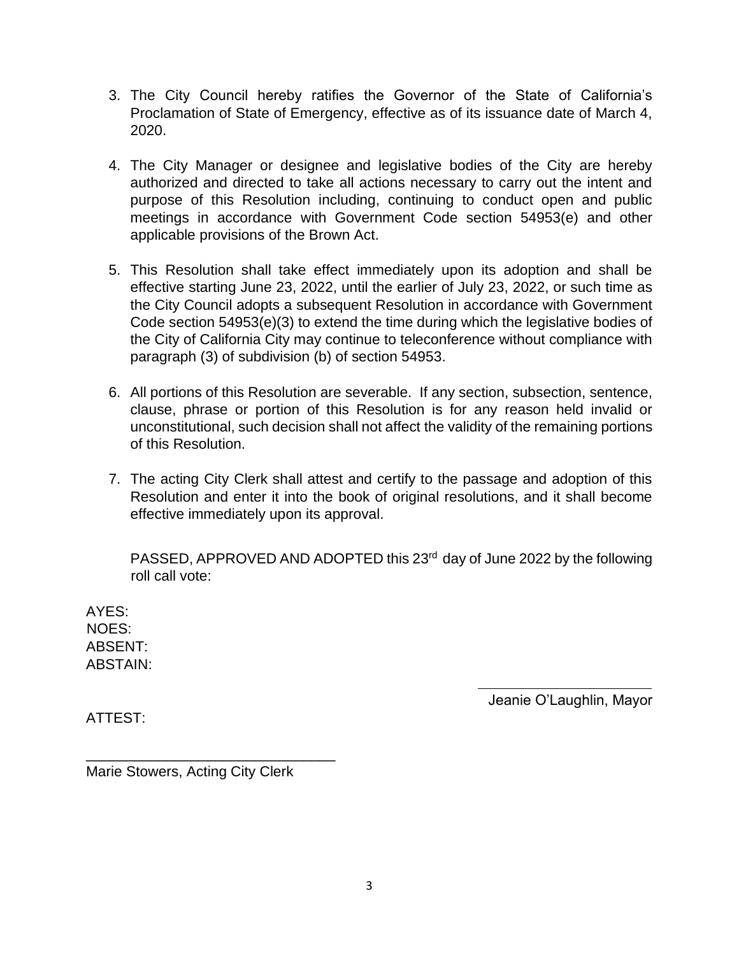- 3. The City Council hereby ratifies the Governor of the State of California's Proclamation of State of Emergency, effective as of its issuance date of March 4, 2020.
- 4. The City Manager or designee and legislative bodies of the City are hereby authorized and directed to take all actions necessary to carry out the intent and purpose of this Resolution including, continuing to conduct open and public meetings in accordance with Government Code section 54953(e) and other applicable provisions of the Brown Act.
- 5. This Resolution shall take effect immediately upon its adoption and shall be effective starting June 23, 2022, until the earlier of July 23, 2022, or such time as the City Council adopts a subsequent Resolution in accordance with Government Code section 54953(e)(3) to extend the time during which the legislative bodies of the City of California City may continue to teleconference without compliance with paragraph (3) of subdivision (b) of section 54953.
- 6. All portions of this Resolution are severable. If any section, subsection, sentence, clause, phrase or portion of this Resolution is for any reason held invalid or unconstitutional, such decision shall not affect the validity of the remaining portions of this Resolution.
- 7. The acting City Clerk shall attest and certify to the passage and adoption of this Resolution and enter it into the book of original resolutions, and it shall become effective immediately upon its approval.

PASSED, APPROVED AND ADOPTED this 23<sup>rd</sup> day of June 2022 by the following roll call vote:

AYES: NOES: ABSENT: ABSTAIN:

Jeanie O'Laughlin, Mayor

ATTEST:

Marie Stowers, Acting City Clerk

\_\_\_\_\_\_\_\_\_\_\_\_\_\_\_\_\_\_\_\_\_\_\_\_\_\_\_\_\_\_\_